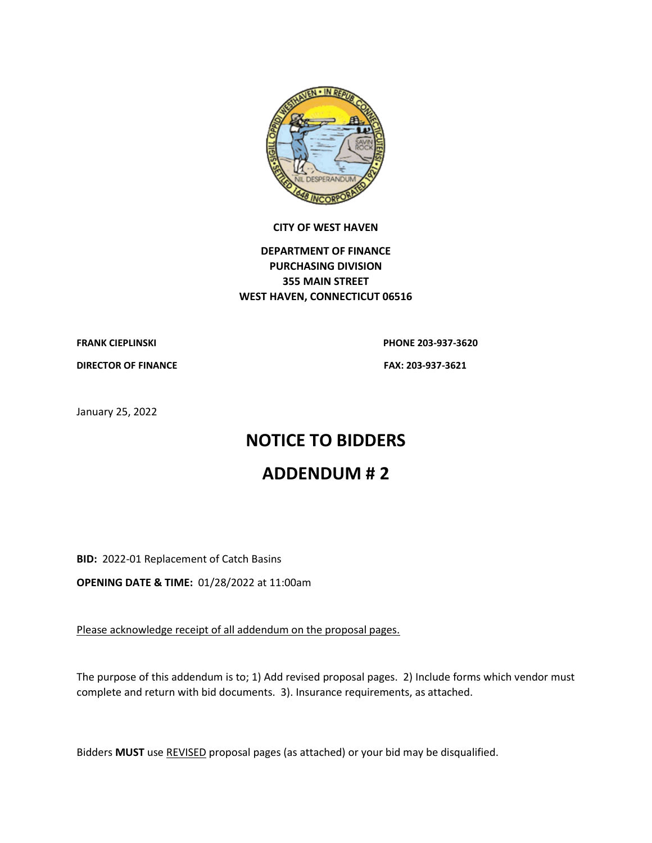

#### **CITY OF WEST HAVEN**

# **DEPARTMENT OF FINANCE PURCHASING DIVISION 355 MAIN STREET WEST HAVEN, CONNECTICUT 06516**

# **FRANK CIEPLINSKI PHONE 203-937-3620**

**DIRECTOR OF FINANCE FAX: 203-937-3621**

January 25, 2022

# **NOTICE TO BIDDERS**

# **ADDENDUM # 2**

**BID:** 2022-01 Replacement of Catch Basins

**OPENING DATE & TIME:** 01/28/2022 at 11:00am

Please acknowledge receipt of all addendum on the proposal pages.

The purpose of this addendum is to; 1) Add revised proposal pages. 2) Include forms which vendor must complete and return with bid documents. 3). Insurance requirements, as attached.

Bidders **MUST** use REVISED proposal pages (as attached) or your bid may be disqualified.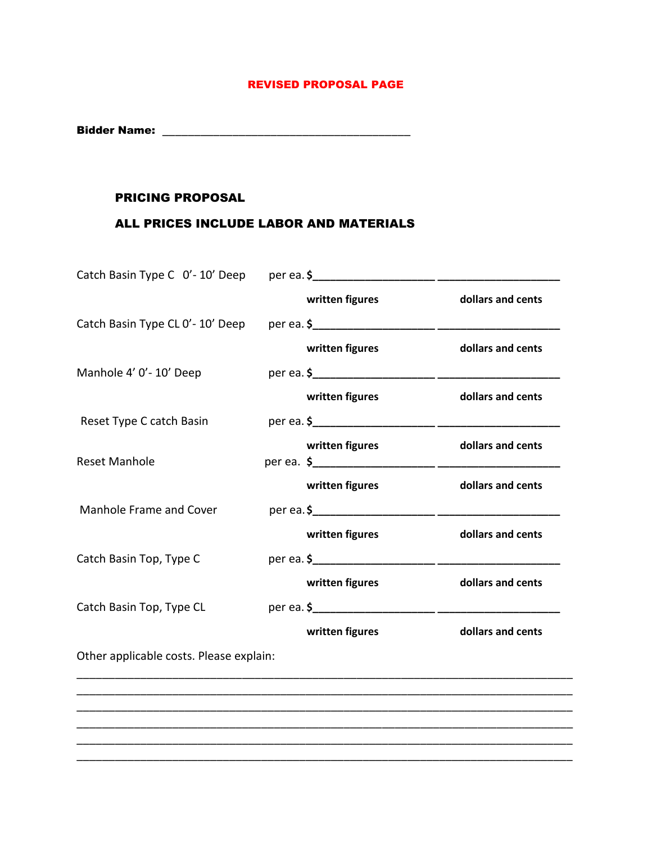# REVISED PROPOSAL PAGE

Bidder Name: \_\_\_\_\_\_\_\_\_\_\_\_\_\_\_\_\_\_\_\_\_\_\_\_\_\_\_\_\_\_\_\_\_\_\_\_\_\_\_

### PRICING PROPOSAL

# ALL PRICES INCLUDE LABOR AND MATERIALS

|                                         | written figures | dollars and cents                                                                                  |
|-----------------------------------------|-----------------|----------------------------------------------------------------------------------------------------|
|                                         |                 |                                                                                                    |
|                                         | written figures | dollars and cents                                                                                  |
|                                         |                 |                                                                                                    |
|                                         | written figures | dollars and cents                                                                                  |
|                                         |                 |                                                                                                    |
|                                         | written figures | dollars and cents                                                                                  |
|                                         |                 |                                                                                                    |
|                                         |                 | dollars and cents                                                                                  |
|                                         |                 | dollars and cents                                                                                  |
|                                         |                 |                                                                                                    |
|                                         |                 | dollars and cents                                                                                  |
|                                         |                 |                                                                                                    |
|                                         | written figures | dollars and cents                                                                                  |
| Other applicable costs. Please explain: |                 |                                                                                                    |
|                                         |                 |                                                                                                    |
|                                         |                 |                                                                                                    |
|                                         |                 | Catch Basin Type C 0'-10' Deep per ea. \$<br>written figures<br>written figures<br>written figures |

\_\_\_\_\_\_\_\_\_\_\_\_\_\_\_\_\_\_\_\_\_\_\_\_\_\_\_\_\_\_\_\_\_\_\_\_\_\_\_\_\_\_\_\_\_\_\_\_\_\_\_\_\_\_\_\_\_\_\_\_\_\_\_\_\_\_\_\_\_\_\_\_\_\_\_\_\_\_

\_\_\_\_\_\_\_\_\_\_\_\_\_\_\_\_\_\_\_\_\_\_\_\_\_\_\_\_\_\_\_\_\_\_\_\_\_\_\_\_\_\_\_\_\_\_\_\_\_\_\_\_\_\_\_\_\_\_\_\_\_\_\_\_\_\_\_\_\_\_\_\_\_\_\_\_\_\_ \_\_\_\_\_\_\_\_\_\_\_\_\_\_\_\_\_\_\_\_\_\_\_\_\_\_\_\_\_\_\_\_\_\_\_\_\_\_\_\_\_\_\_\_\_\_\_\_\_\_\_\_\_\_\_\_\_\_\_\_\_\_\_\_\_\_\_\_\_\_\_\_\_\_\_\_\_\_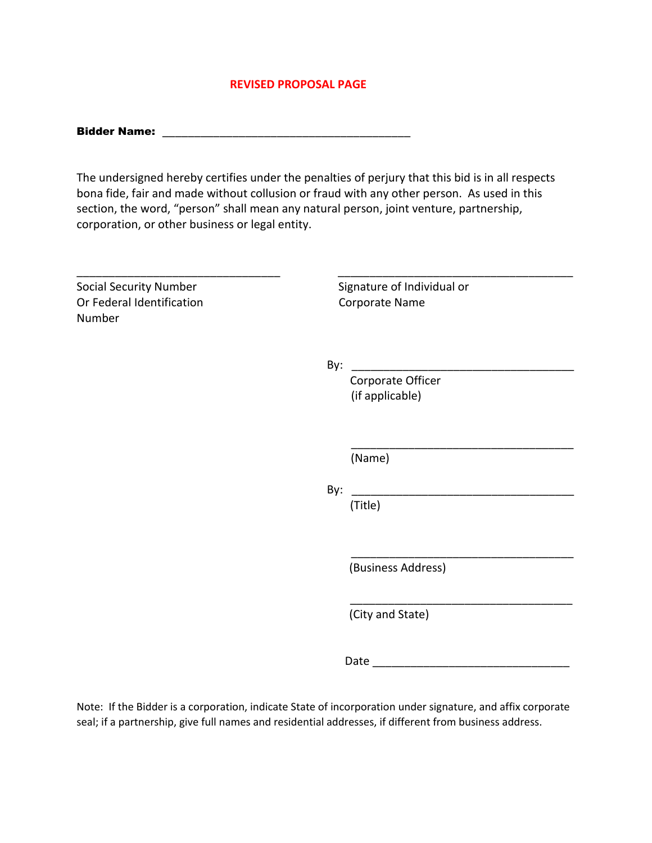#### **REVISED PROPOSAL PAGE**

| <b>Bidder Name:</b> |  |
|---------------------|--|
|                     |  |

The undersigned hereby certifies under the penalties of perjury that this bid is in all respects bona fide, fair and made without collusion or fraud with any other person. As used in this section, the word, "person" shall mean any natural person, joint venture, partnership, corporation, or other business or legal entity.

\_\_\_\_\_\_\_\_\_\_\_\_\_\_\_\_\_\_\_\_\_\_\_\_\_\_\_\_\_\_\_\_ \_\_\_\_\_\_\_\_\_\_\_\_\_\_\_\_\_\_\_\_\_\_\_\_\_\_\_\_\_\_\_\_\_\_\_\_\_

Social Security Number Signature of Individual or Or Federal Identification Corporate Name Number

 $\mathsf{By:}$ 

 $\overline{\phantom{a}}$  , and the contract of the contract of the contract of the contract of the contract of the contract of the contract of the contract of the contract of the contract of the contract of the contract of the contrac

 $\overline{\phantom{a}}$  , and the contract of the contract of the contract of the contract of the contract of the contract of the contract of the contract of the contract of the contract of the contract of the contract of the contrac

 Corporate Officer (if applicable)

(Name)

 By: \_\_\_\_\_\_\_\_\_\_\_\_\_\_\_\_\_\_\_\_\_\_\_\_\_\_\_\_\_\_\_\_\_\_\_ (Title)

(Business Address)

(City and State)

Date \_\_\_\_\_\_\_\_\_\_\_\_\_\_\_\_\_\_\_\_\_\_\_\_\_\_\_\_\_\_\_

\_\_\_\_\_\_\_\_\_\_\_\_\_\_\_\_\_\_\_\_\_\_\_\_\_\_\_\_\_\_\_\_\_\_\_

Note: If the Bidder is a corporation, indicate State of incorporation under signature, and affix corporate seal; if a partnership, give full names and residential addresses, if different from business address.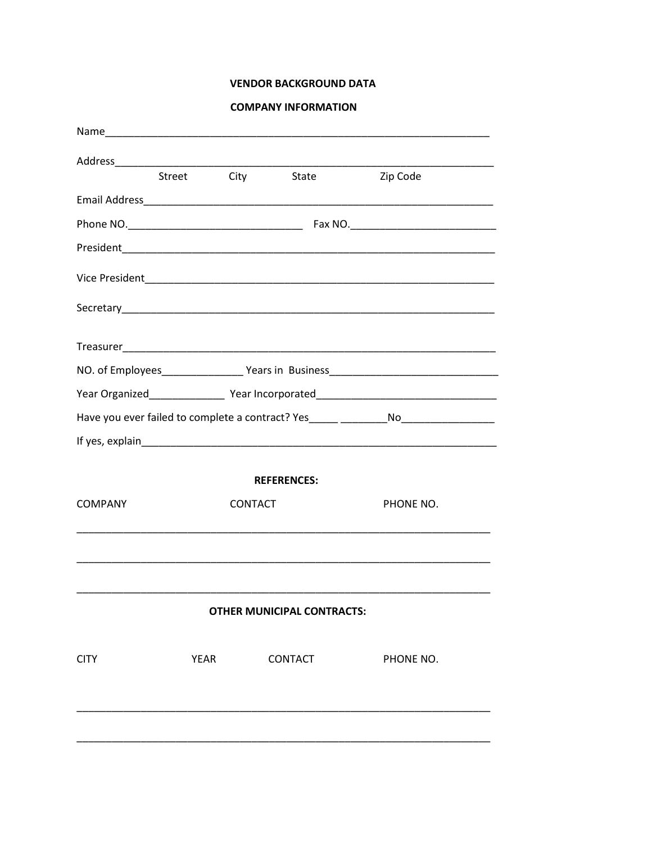### **VENDOR BACKGROUND DATA**

|  |  | <b>COMPANY INFORMATION</b> |
|--|--|----------------------------|
|  |  |                            |

|                |      | Street City    | State                             | Zip Code                                                                         |
|----------------|------|----------------|-----------------------------------|----------------------------------------------------------------------------------|
|                |      |                |                                   |                                                                                  |
|                |      |                |                                   |                                                                                  |
|                |      |                |                                   |                                                                                  |
|                |      |                |                                   |                                                                                  |
|                |      |                |                                   |                                                                                  |
|                |      |                |                                   |                                                                                  |
|                |      |                |                                   |                                                                                  |
|                |      |                |                                   | Year Organized___________________Year Incorporated______________________________ |
|                |      |                |                                   |                                                                                  |
|                |      |                |                                   |                                                                                  |
|                |      |                | <b>REFERENCES:</b>                |                                                                                  |
| <b>COMPANY</b> |      | <b>CONTACT</b> |                                   | PHONE NO.                                                                        |
|                |      |                |                                   |                                                                                  |
|                |      |                | <b>OTHER MUNICIPAL CONTRACTS:</b> |                                                                                  |
| <b>CITY</b>    | YEAR |                | <b>CONTACT</b>                    | PHONE NO.                                                                        |
|                |      |                |                                   |                                                                                  |
|                |      |                |                                   |                                                                                  |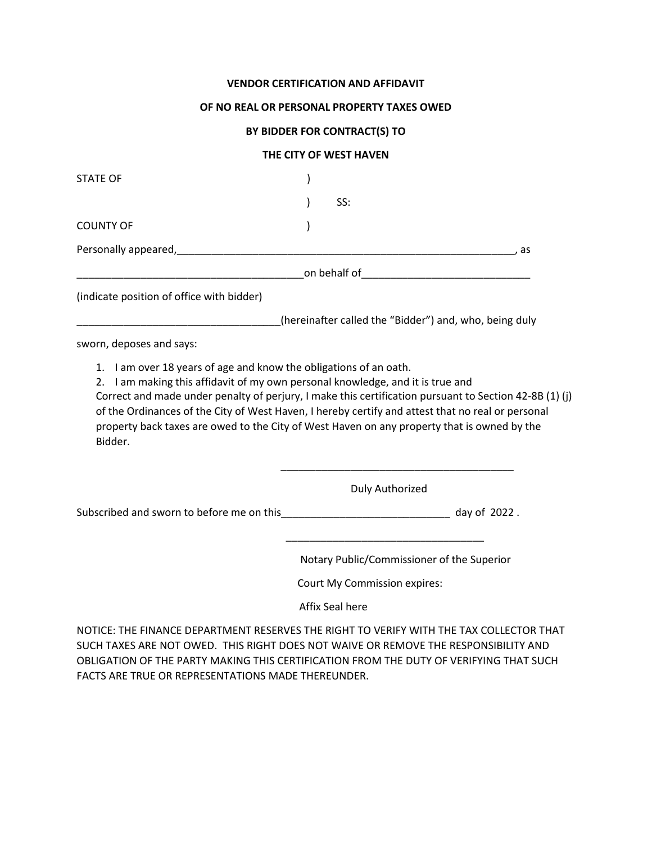#### **VENDOR CERTIFICATION AND AFFIDAVIT**

#### **OF NO REAL OR PERSONAL PROPERTY TAXES OWED**

### **BY BIDDER FOR CONTRACT(S) TO**

#### **THE CITY OF WEST HAVEN**

| <b>STATE OF</b>                                                                                                                                                                                                                                                                                                       |                                                        |      |
|-----------------------------------------------------------------------------------------------------------------------------------------------------------------------------------------------------------------------------------------------------------------------------------------------------------------------|--------------------------------------------------------|------|
|                                                                                                                                                                                                                                                                                                                       | SS:                                                    |      |
| <b>COUNTY OF</b>                                                                                                                                                                                                                                                                                                      |                                                        |      |
|                                                                                                                                                                                                                                                                                                                       |                                                        | , as |
|                                                                                                                                                                                                                                                                                                                       |                                                        |      |
| (indicate position of office with bidder)                                                                                                                                                                                                                                                                             |                                                        |      |
|                                                                                                                                                                                                                                                                                                                       | (hereinafter called the "Bidder") and, who, being duly |      |
| sworn, deposes and says:                                                                                                                                                                                                                                                                                              |                                                        |      |
| Correct and made under penalty of perjury, I make this certification pursuant to Section 42-8B (1) (j)<br>of the Ordinances of the City of West Haven, I hereby certify and attest that no real or personal<br>property back taxes are owed to the City of West Haven on any property that is owned by the<br>Bidder. |                                                        |      |
|                                                                                                                                                                                                                                                                                                                       | Duly Authorized                                        |      |
| Subscribed and sworn to before me on this_________________________________ day of 2022.                                                                                                                                                                                                                               |                                                        |      |
|                                                                                                                                                                                                                                                                                                                       | Notary Public/Commissioner of the Superior             |      |
|                                                                                                                                                                                                                                                                                                                       | Court My Commission expires:                           |      |
|                                                                                                                                                                                                                                                                                                                       | Affix Seal here                                        |      |
| NOTICE: THE FINANCE DEPARTMENT RESERVES THE RIGHT TO VERIFY WITH THE TAX COLLECTOR THAT                                                                                                                                                                                                                               |                                                        |      |

SUCH TAXES ARE NOT OWED. THIS RIGHT DOES NOT WAIVE OR REMOVE THE RESPONSIBILITY AND OBLIGATION OF THE PARTY MAKING THIS CERTIFICATION FROM THE DUTY OF VERIFYING THAT SUCH FACTS ARE TRUE OR REPRESENTATIONS MADE THEREUNDER.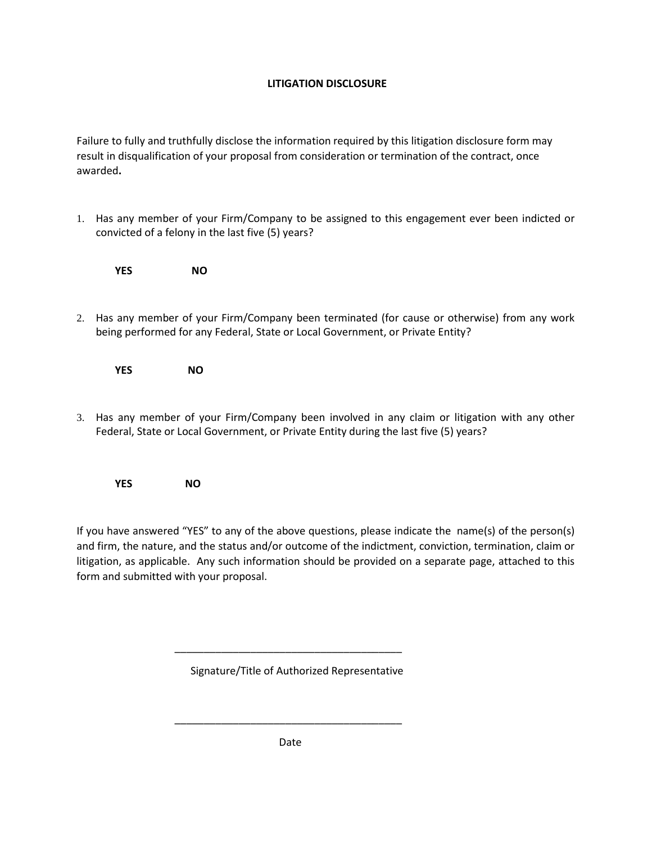# **LITIGATION DISCLOSURE**

Failure to fully and truthfully disclose the information required by this litigation disclosure form may result in disqualification of your proposal from consideration or termination of the contract, once awarded**.** 

1. Has any member of your Firm/Company to be assigned to this engagement ever been indicted or convicted of a felony in the last five (5) years?

 **YES NO**

2. Has any member of your Firm/Company been terminated (for cause or otherwise) from any work being performed for any Federal, State or Local Government, or Private Entity?

**YES NO**

3. Has any member of your Firm/Company been involved in any claim or litigation with any other Federal, State or Local Government, or Private Entity during the last five (5) years?

**YES NO**

If you have answered "YES" to any of the above questions, please indicate the name(s) of the person(s) and firm, the nature, and the status and/or outcome of the indictment, conviction, termination, claim or litigation, as applicable. Any such information should be provided on a separate page, attached to this form and submitted with your proposal.

Signature/Title of Authorized Representative

 $\overline{\phantom{a}}$  ,  $\overline{\phantom{a}}$  ,  $\overline{\phantom{a}}$  ,  $\overline{\phantom{a}}$  ,  $\overline{\phantom{a}}$  ,  $\overline{\phantom{a}}$  ,  $\overline{\phantom{a}}$  ,  $\overline{\phantom{a}}$  ,  $\overline{\phantom{a}}$  ,  $\overline{\phantom{a}}$  ,  $\overline{\phantom{a}}$  ,  $\overline{\phantom{a}}$  ,  $\overline{\phantom{a}}$  ,  $\overline{\phantom{a}}$  ,  $\overline{\phantom{a}}$  ,  $\overline{\phantom{a}}$ 

 $\overline{\phantom{a}}$  ,  $\overline{\phantom{a}}$  ,  $\overline{\phantom{a}}$  ,  $\overline{\phantom{a}}$  ,  $\overline{\phantom{a}}$  ,  $\overline{\phantom{a}}$  ,  $\overline{\phantom{a}}$  ,  $\overline{\phantom{a}}$  ,  $\overline{\phantom{a}}$  ,  $\overline{\phantom{a}}$  ,  $\overline{\phantom{a}}$  ,  $\overline{\phantom{a}}$  ,  $\overline{\phantom{a}}$  ,  $\overline{\phantom{a}}$  ,  $\overline{\phantom{a}}$  ,  $\overline{\phantom{a}}$ 

Date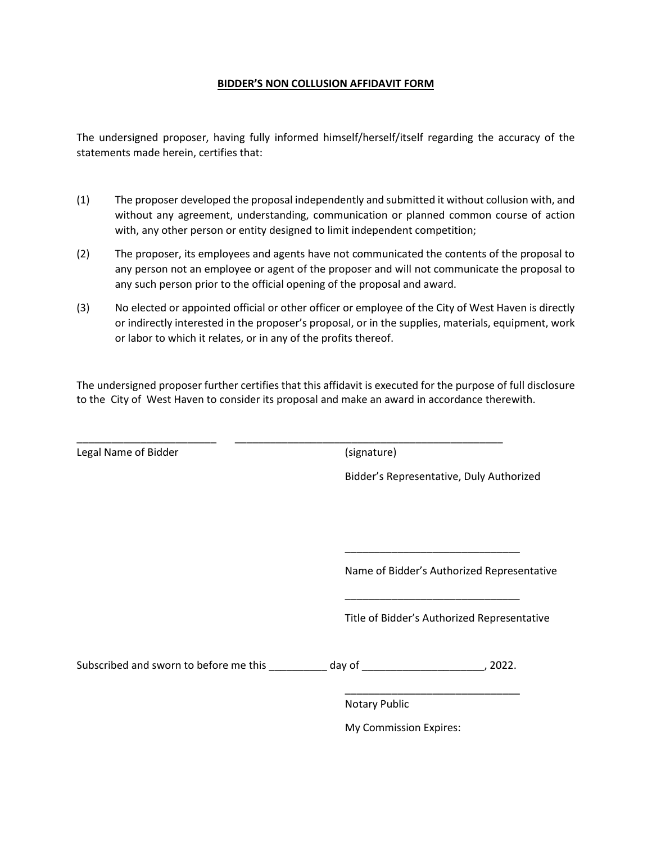#### **BIDDER'S NON COLLUSION AFFIDAVIT FORM**

The undersigned proposer, having fully informed himself/herself/itself regarding the accuracy of the statements made herein, certifies that:

- (1) The proposer developed the proposal independently and submitted it without collusion with, and without any agreement, understanding, communication or planned common course of action with, any other person or entity designed to limit independent competition;
- (2) The proposer, its employees and agents have not communicated the contents of the proposal to any person not an employee or agent of the proposer and will not communicate the proposal to any such person prior to the official opening of the proposal and award.
- (3) No elected or appointed official or other officer or employee of the City of West Haven is directly or indirectly interested in the proposer's proposal, or in the supplies, materials, equipment, work or labor to which it relates, or in any of the profits thereof.

The undersigned proposer further certifies that this affidavit is executed for the purpose of full disclosure to the City of West Haven to consider its proposal and make an award in accordance therewith.

| Legal Name of Bidder                                                                     | (signature)            |                                             |
|------------------------------------------------------------------------------------------|------------------------|---------------------------------------------|
|                                                                                          |                        | Bidder's Representative, Duly Authorized    |
|                                                                                          |                        |                                             |
|                                                                                          |                        | Name of Bidder's Authorized Representative  |
|                                                                                          |                        | Title of Bidder's Authorized Representative |
| Subscribed and sworn to before me this __________ day of ________________________, 2022. |                        |                                             |
|                                                                                          | <b>Notary Public</b>   |                                             |
|                                                                                          | My Commission Expires: |                                             |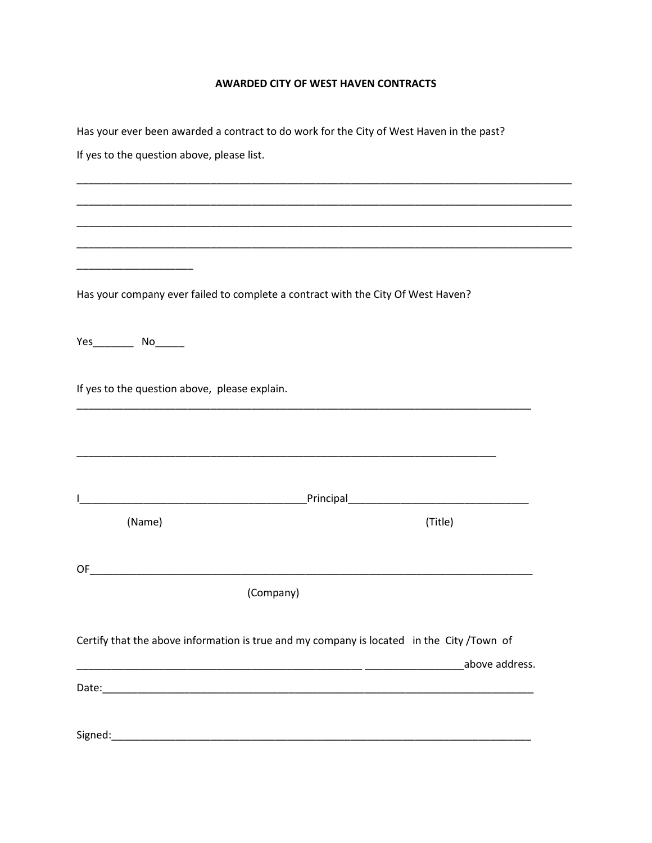# **AWARDED CITY OF WEST HAVEN CONTRACTS**

|                                               | Has your ever been awarded a contract to do work for the City of West Haven in the past?  |
|-----------------------------------------------|-------------------------------------------------------------------------------------------|
| If yes to the question above, please list.    |                                                                                           |
|                                               |                                                                                           |
|                                               |                                                                                           |
|                                               |                                                                                           |
|                                               |                                                                                           |
|                                               |                                                                                           |
|                                               | Has your company ever failed to complete a contract with the City Of West Haven?          |
|                                               |                                                                                           |
| If yes to the question above, please explain. |                                                                                           |
|                                               |                                                                                           |
|                                               |                                                                                           |
|                                               |                                                                                           |
| (Name)                                        | (Title)                                                                                   |
| OF                                            |                                                                                           |
|                                               | (Company)                                                                                 |
|                                               | Certify that the above information is true and my company is located in the City /Town of |
|                                               | above address.                                                                            |
|                                               |                                                                                           |
|                                               |                                                                                           |
|                                               |                                                                                           |
|                                               |                                                                                           |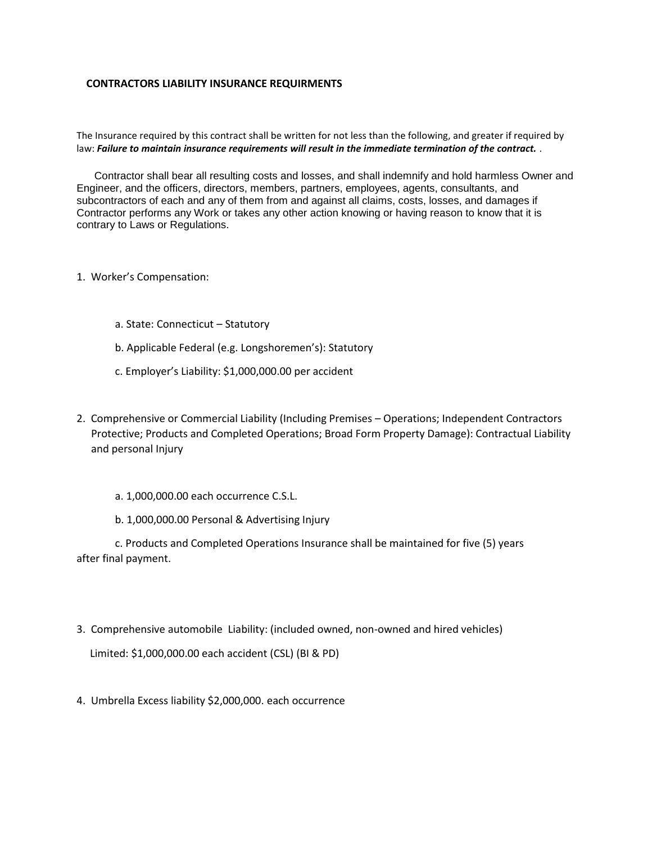#### **CONTRACTORS LIABILITY INSURANCE REQUIRMENTS**

The Insurance required by this contract shall be written for not less than the following, and greater if required by law: *Failure to maintain insurance requirements will result in the immediate termination of the contract.* .

 Contractor shall bear all resulting costs and losses, and shall indemnify and hold harmless Owner and Engineer, and the officers, directors, members, partners, employees, agents, consultants, and subcontractors of each and any of them from and against all claims, costs, losses, and damages if Contractor performs any Work or takes any other action knowing or having reason to know that it is contrary to Laws or Regulations.

- 1. Worker's Compensation:
	- a. State: Connecticut Statutory
	- b. Applicable Federal (e.g. Longshoremen's): Statutory
	- c. Employer's Liability: \$1,000,000.00 per accident
- 2. Comprehensive or Commercial Liability (Including Premises Operations; Independent Contractors Protective; Products and Completed Operations; Broad Form Property Damage): Contractual Liability and personal Injury
	- a. 1,000,000.00 each occurrence C.S.L.
	- b. 1,000,000.00 Personal & Advertising Injury

c. Products and Completed Operations Insurance shall be maintained for five (5) years after final payment.

3. Comprehensive automobile Liability: (included owned, non-owned and hired vehicles)

Limited: \$1,000,000.00 each accident (CSL) (BI & PD)

4. Umbrella Excess liability \$2,000,000. each occurrence